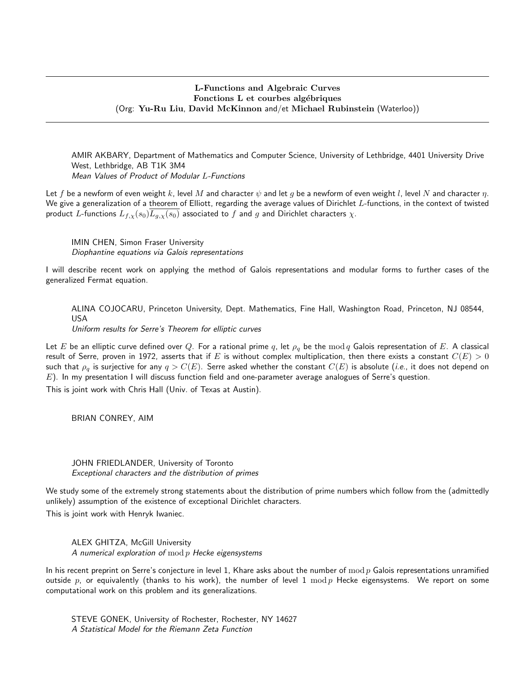## L-Functions and Algebraic Curves Fonctions L et courbes algébriques (Org: Yu-Ru Liu, David McKinnon and/et Michael Rubinstein (Waterloo))

AMIR AKBARY, Department of Mathematics and Computer Science, University of Lethbridge, 4401 University Drive West, Lethbridge, AB T1K 3M4 Mean Values of Product of Modular L-Functions

Let f be a newform of even weight k, level M and character  $\psi$  and let g be a newform of even weight l, level N and character  $\eta$ . We give a generalization of a theorem of Elliott, regarding the average values of Dirichlet  $L$ -functions, in the context of twisted product L-functions  $L_{f,x}(s_0)L_{g,x}(s_0)$  associated to f and g and Dirichlet characters  $\chi$ .

IMIN CHEN, Simon Fraser University Diophantine equations via Galois representations

I will describe recent work on applying the method of Galois representations and modular forms to further cases of the generalized Fermat equation.

ALINA COJOCARU, Princeton University, Dept. Mathematics, Fine Hall, Washington Road, Princeton, NJ 08544, USA

Uniform results for Serre's Theorem for elliptic curves

Let E be an elliptic curve defined over Q. For a rational prime q, let  $\rho_q$  be the mod q Galois representation of E. A classical result of Serre, proven in 1972, asserts that if E is without complex multiplication, then there exists a constant  $C(E) > 0$ such that  $\rho_q$  is surjective for any  $q > C(E)$ . Serre asked whether the constant  $C(E)$  is absolute (*i.e.*, it does not depend on  $E$ ). In my presentation I will discuss function field and one-parameter average analogues of Serre's question.

This is joint work with Chris Hall (Univ. of Texas at Austin).

BRIAN CONREY, AIM

JOHN FRIEDLANDER, University of Toronto Exceptional characters and the distribution of primes

We study some of the extremely strong statements about the distribution of prime numbers which follow from the (admittedly unlikely) assumption of the existence of exceptional Dirichlet characters.

This is joint work with Henryk Iwaniec.

ALEX GHITZA, McGill University A numerical exploration of  $mod p$  Hecke eigensystems

In his recent preprint on Serre's conjecture in level 1, Khare asks about the number of  $mod p$  Galois representations unramified outside p, or equivalently (thanks to his work), the number of level 1  $\text{mod } p$  Hecke eigensystems. We report on some computational work on this problem and its generalizations.

STEVE GONEK, University of Rochester, Rochester, NY 14627 A Statistical Model for the Riemann Zeta Function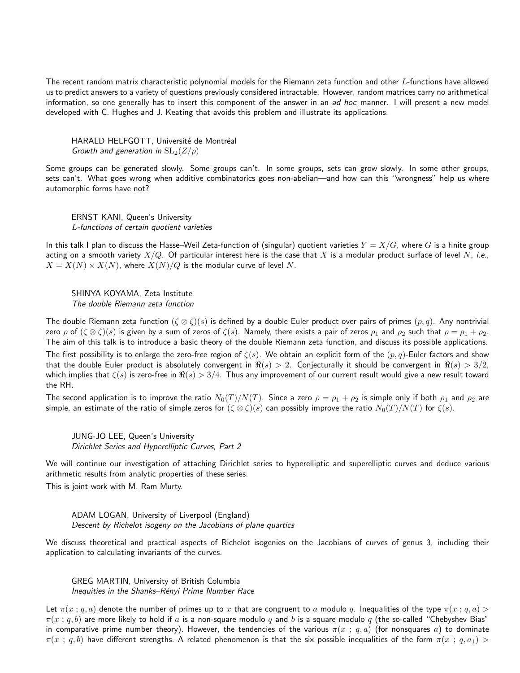The recent random matrix characteristic polynomial models for the Riemann zeta function and other L-functions have allowed us to predict answers to a variety of questions previously considered intractable. However, random matrices carry no arithmetical information, so one generally has to insert this component of the answer in an ad hoc manner. I will present a new model developed with C. Hughes and J. Keating that avoids this problem and illustrate its applications.

HARALD HELFGOTT, Université de Montréal Growth and generation in  $SL_2(Z/p)$ 

Some groups can be generated slowly. Some groups can't. In some groups, sets can grow slowly. In some other groups, sets can't. What goes wrong when additive combinatorics goes non-abelian—and how can this "wrongness" help us where automorphic forms have not?

ERNST KANI, Queen's University L-functions of certain quotient varieties

In this talk I plan to discuss the Hasse–Weil Zeta-function of (singular) quotient varieties  $Y = X/G$ , where G is a finite group acting on a smooth variety  $X/Q$ . Of particular interest here is the case that X is a modular product surface of level N, i.e.,  $X = X(N) \times X(N)$ , where  $X(N)/Q$  is the modular curve of level N.

SHINYA KOYAMA, Zeta Institute The double Riemann zeta function

The double Riemann zeta function  $(\zeta \otimes \zeta)(s)$  is defined by a double Euler product over pairs of primes  $(p, q)$ . Any nontrivial zero  $\rho$  of  $(\zeta \otimes \zeta)(s)$  is given by a sum of zeros of  $\zeta(s)$ . Namely, there exists a pair of zeros  $\rho_1$  and  $\rho_2$  such that  $\rho = \rho_1 + \rho_2$ . The aim of this talk is to introduce a basic theory of the double Riemann zeta function, and discuss its possible applications.

The first possibility is to enlarge the zero-free region of  $\zeta(s)$ . We obtain an explicit form of the  $(p, q)$ -Euler factors and show that the double Euler product is absolutely convergent in  $\Re(s) > 2$ . Conjecturally it should be convergent in  $\Re(s) > 3/2$ , which implies that  $\zeta(s)$  is zero-free in  $\Re(s) > 3/4$ . Thus any improvement of our current result would give a new result toward the RH.

The second application is to improve the ratio  $N_0(T)/N(T)$ . Since a zero  $\rho = \rho_1 + \rho_2$  is simple only if both  $\rho_1$  and  $\rho_2$  are simple, an estimate of the ratio of simple zeros for  $(\zeta \otimes \zeta)(s)$  can possibly improve the ratio  $N_0(T)/N(T)$  for  $\zeta(s)$ .

JUNG-JO LEE, Queen's University Dirichlet Series and Hyperelliptic Curves, Part 2

We will continue our investigation of attaching Dirichlet series to hyperelliptic and superelliptic curves and deduce various arithmetic results from analytic properties of these series.

This is joint work with M. Ram Murty.

ADAM LOGAN, University of Liverpool (England) Descent by Richelot isogeny on the Jacobians of plane quartics

We discuss theoretical and practical aspects of Richelot isogenies on the Jacobians of curves of genus 3, including their application to calculating invariants of the curves.

GREG MARTIN, University of British Columbia Inequities in the Shanks-Rényi Prime Number Race

Let  $\pi(x; q, a)$  denote the number of primes up to x that are congruent to a modulo q. Inequalities of the type  $\pi(x; q, a)$  $\pi(x; q, b)$  are more likely to hold if a is a non-square modulo q and b is a square modulo q (the so-called "Chebyshev Bias" in comparative prime number theory). However, the tendencies of the various  $\pi(x; q, a)$  (for nonsquares a) to dominate  $\pi(x : q, b)$  have different strengths. A related phenomenon is that the six possible inequalities of the form  $\pi(x : q, a_1)$